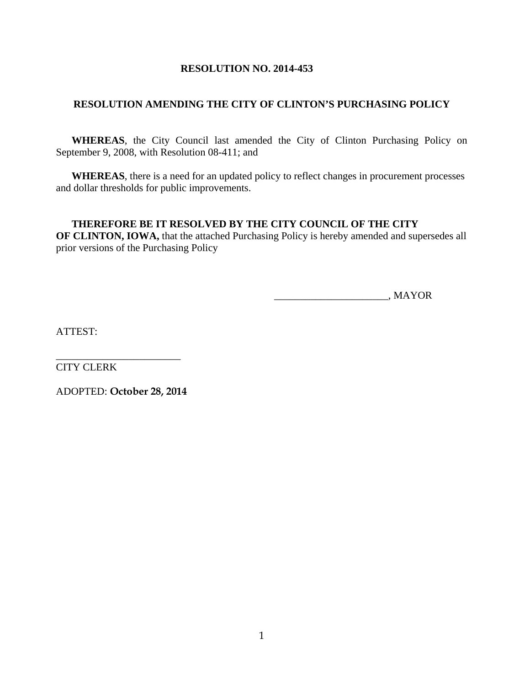# **RESOLUTION NO. 2014-453**

# **RESOLUTION AMENDING THE CITY OF CLINTON'S PURCHASING POLICY**

 **WHEREAS**, the City Council last amended the City of Clinton Purchasing Policy on September 9, 2008, with Resolution 08-411; and

 **WHEREAS**, there is a need for an updated policy to reflect changes in procurement processes and dollar thresholds for public improvements.

## **THEREFORE BE IT RESOLVED BY THE CITY COUNCIL OF THE CITY OF CLINTON, IOWA,** that the attached Purchasing Policy is hereby amended and supersedes all

prior versions of the Purchasing Policy

\_\_\_\_\_\_\_\_\_\_\_\_\_\_\_\_\_\_\_\_\_\_, MAYOR

ATTEST:

\_\_\_\_\_\_\_\_\_\_\_\_\_\_\_\_\_\_\_\_\_\_\_\_ CITY CLERK

ADOPTED: **October 28, 2014**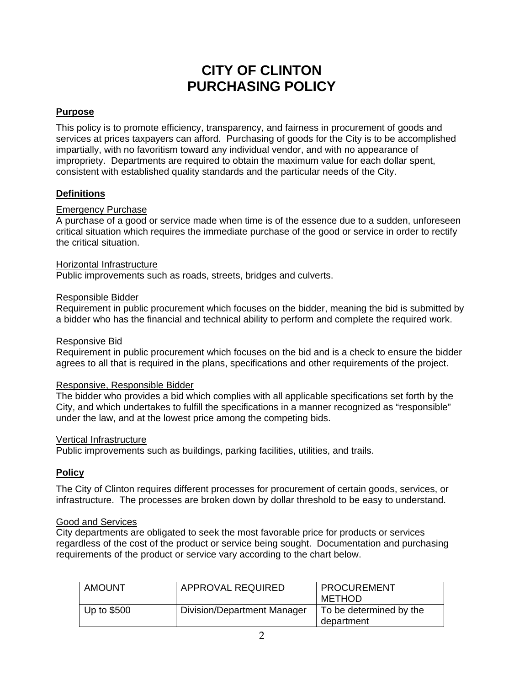# **CITY OF CLINTON PURCHASING POLICY**

# **Purpose**

This policy is to promote efficiency, transparency, and fairness in procurement of goods and services at prices taxpayers can afford. Purchasing of goods for the City is to be accomplished impartially, with no favoritism toward any individual vendor, and with no appearance of impropriety. Departments are required to obtain the maximum value for each dollar spent, consistent with established quality standards and the particular needs of the City.

## **Definitions**

## Emergency Purchase

A purchase of a good or service made when time is of the essence due to a sudden, unforeseen critical situation which requires the immediate purchase of the good or service in order to rectify the critical situation.

### Horizontal Infrastructure

Public improvements such as roads, streets, bridges and culverts.

### Responsible Bidder

Requirement in public procurement which focuses on the bidder, meaning the bid is submitted by a bidder who has the financial and technical ability to perform and complete the required work.

#### Responsive Bid

Requirement in public procurement which focuses on the bid and is a check to ensure the bidder agrees to all that is required in the plans, specifications and other requirements of the project.

#### Responsive, Responsible Bidder

The bidder who provides a bid which complies with all applicable specifications set forth by the City, and which undertakes to fulfill the specifications in a manner recognized as "responsible" under the law, and at the lowest price among the competing bids.

#### Vertical Infrastructure

Public improvements such as buildings, parking facilities, utilities, and trails.

## **Policy**

The City of Clinton requires different processes for procurement of certain goods, services, or infrastructure. The processes are broken down by dollar threshold to be easy to understand.

#### Good and Services

City departments are obligated to seek the most favorable price for products or services regardless of the cost of the product or service being sought. Documentation and purchasing requirements of the product or service vary according to the chart below.

| <b>AMOUNT</b> | APPROVAL REQUIRED           | <b>PROCUREMENT</b><br>METHOD          |
|---------------|-----------------------------|---------------------------------------|
| Up to \$500   | Division/Department Manager | To be determined by the<br>department |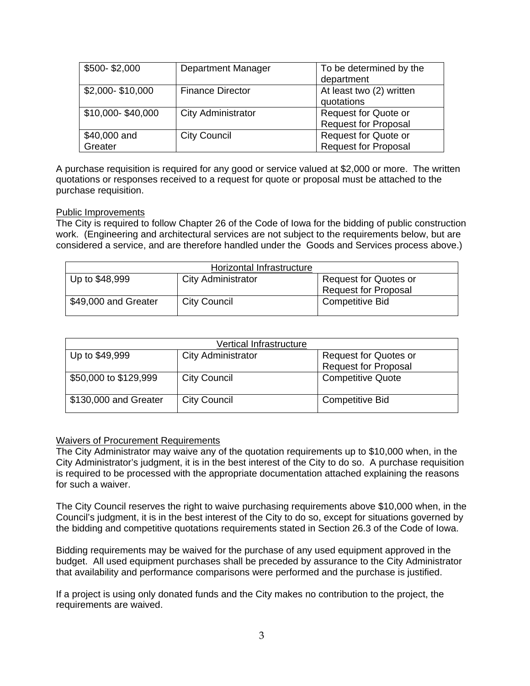| \$500-\$2,000           | Department Manager        | To be determined by the<br>department                      |
|-------------------------|---------------------------|------------------------------------------------------------|
| \$2,000-\$10,000        | <b>Finance Director</b>   | At least two (2) written<br>quotations                     |
| \$10,000-\$40,000       | <b>City Administrator</b> | <b>Request for Quote or</b><br><b>Request for Proposal</b> |
| \$40,000 and<br>Greater | <b>City Council</b>       | <b>Request for Quote or</b><br><b>Request for Proposal</b> |

A purchase requisition is required for any good or service valued at \$2,000 or more. The written quotations or responses received to a request for quote or proposal must be attached to the purchase requisition.

### Public Improvements

The City is required to follow Chapter 26 of the Code of Iowa for the bidding of public construction work. (Engineering and architectural services are not subject to the requirements below, but are considered a service, and are therefore handled under the Goods and Services process above.)

|                      | Horizontal Infrastructure |                              |
|----------------------|---------------------------|------------------------------|
| Up to \$48,999       | <b>City Administrator</b> | <b>Request for Quotes or</b> |
|                      |                           | <b>Request for Proposal</b>  |
| \$49,000 and Greater | <b>City Council</b>       | Competitive Bid              |

|                       | Vertical Infrastructure   |                              |
|-----------------------|---------------------------|------------------------------|
| Up to \$49,999        | <b>City Administrator</b> | <b>Request for Quotes or</b> |
|                       |                           | <b>Request for Proposal</b>  |
| \$50,000 to \$129,999 | <b>City Council</b>       | <b>Competitive Quote</b>     |
| \$130,000 and Greater | <b>City Council</b>       | <b>Competitive Bid</b>       |

#### Waivers of Procurement Requirements

The City Administrator may waive any of the quotation requirements up to \$10,000 when, in the City Administrator's judgment, it is in the best interest of the City to do so. A purchase requisition is required to be processed with the appropriate documentation attached explaining the reasons for such a waiver.

The City Council reserves the right to waive purchasing requirements above \$10,000 when, in the Council's judgment, it is in the best interest of the City to do so, except for situations governed by the bidding and competitive quotations requirements stated in Section 26.3 of the Code of Iowa.

Bidding requirements may be waived for the purchase of any used equipment approved in the budget. All used equipment purchases shall be preceded by assurance to the City Administrator that availability and performance comparisons were performed and the purchase is justified.

If a project is using only donated funds and the City makes no contribution to the project, the requirements are waived.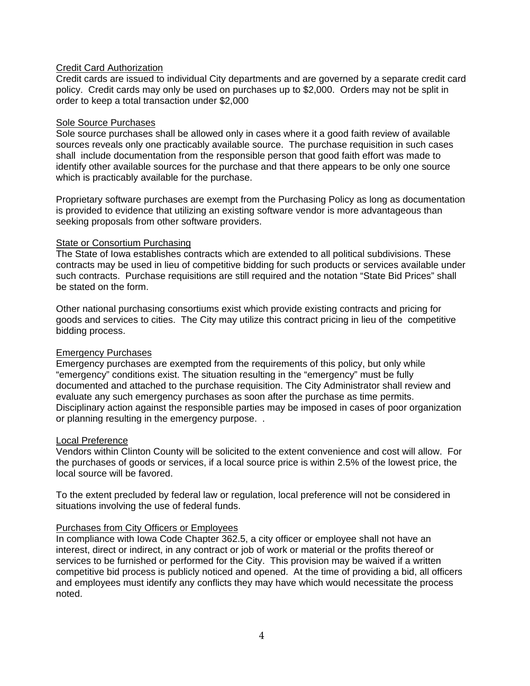## Credit Card Authorization

Credit cards are issued to individual City departments and are governed by a separate credit card policy. Credit cards may only be used on purchases up to \$2,000. Orders may not be split in order to keep a total transaction under \$2,000

#### Sole Source Purchases

Sole source purchases shall be allowed only in cases where it a good faith review of available sources reveals only one practicably available source. The purchase requisition in such cases shall include documentation from the responsible person that good faith effort was made to identify other available sources for the purchase and that there appears to be only one source which is practicably available for the purchase.

Proprietary software purchases are exempt from the Purchasing Policy as long as documentation is provided to evidence that utilizing an existing software vendor is more advantageous than seeking proposals from other software providers.

### **State or Consortium Purchasing**

The State of Iowa establishes contracts which are extended to all political subdivisions. These contracts may be used in lieu of competitive bidding for such products or services available under such contracts. Purchase requisitions are still required and the notation "State Bid Prices" shall be stated on the form.

Other national purchasing consortiums exist which provide existing contracts and pricing for goods and services to cities. The City may utilize this contract pricing in lieu of the competitive bidding process.

## Emergency Purchases

Emergency purchases are exempted from the requirements of this policy, but only while "emergency" conditions exist. The situation resulting in the "emergency" must be fully documented and attached to the purchase requisition. The City Administrator shall review and evaluate any such emergency purchases as soon after the purchase as time permits. Disciplinary action against the responsible parties may be imposed in cases of poor organization or planning resulting in the emergency purpose. .

## Local Preference

Vendors within Clinton County will be solicited to the extent convenience and cost will allow. For the purchases of goods or services, if a local source price is within 2.5% of the lowest price, the local source will be favored.

To the extent precluded by federal law or regulation, local preference will not be considered in situations involving the use of federal funds.

## Purchases from City Officers or Employees

In compliance with Iowa Code Chapter 362.5, a city officer or employee shall not have an interest, direct or indirect, in any contract or job of work or material or the profits thereof or services to be furnished or performed for the City. This provision may be waived if a written competitive bid process is publicly noticed and opened. At the time of providing a bid, all officers and employees must identify any conflicts they may have which would necessitate the process noted.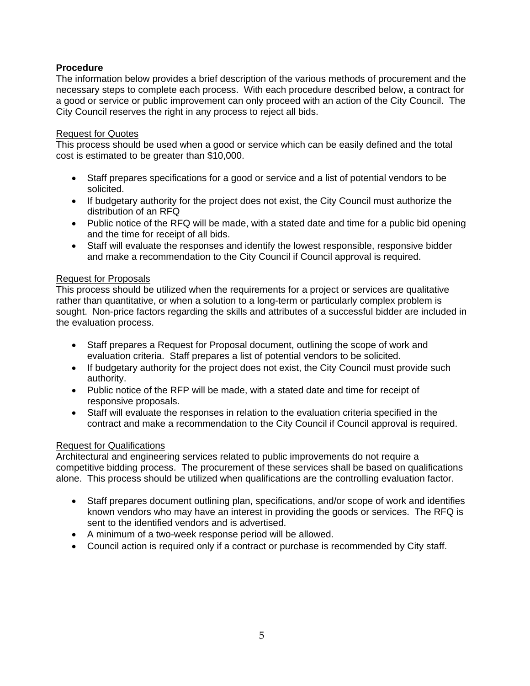# **Procedure**

The information below provides a brief description of the various methods of procurement and the necessary steps to complete each process. With each procedure described below, a contract for a good or service or public improvement can only proceed with an action of the City Council. The City Council reserves the right in any process to reject all bids.

## Request for Quotes

This process should be used when a good or service which can be easily defined and the total cost is estimated to be greater than \$10,000.

- Staff prepares specifications for a good or service and a list of potential vendors to be solicited.
- If budgetary authority for the project does not exist, the City Council must authorize the distribution of an RFQ
- Public notice of the RFQ will be made, with a stated date and time for a public bid opening and the time for receipt of all bids.
- Staff will evaluate the responses and identify the lowest responsible, responsive bidder and make a recommendation to the City Council if Council approval is required.

## Request for Proposals

This process should be utilized when the requirements for a project or services are qualitative rather than quantitative, or when a solution to a long-term or particularly complex problem is sought. Non-price factors regarding the skills and attributes of a successful bidder are included in the evaluation process.

- Staff prepares a Request for Proposal document, outlining the scope of work and evaluation criteria. Staff prepares a list of potential vendors to be solicited.
- If budgetary authority for the project does not exist, the City Council must provide such authority.
- Public notice of the RFP will be made, with a stated date and time for receipt of responsive proposals.
- Staff will evaluate the responses in relation to the evaluation criteria specified in the contract and make a recommendation to the City Council if Council approval is required.

#### Request for Qualifications

Architectural and engineering services related to public improvements do not require a competitive bidding process. The procurement of these services shall be based on qualifications alone. This process should be utilized when qualifications are the controlling evaluation factor.

- Staff prepares document outlining plan, specifications, and/or scope of work and identifies known vendors who may have an interest in providing the goods or services. The RFQ is sent to the identified vendors and is advertised.
- A minimum of a two-week response period will be allowed.
- Council action is required only if a contract or purchase is recommended by City staff.